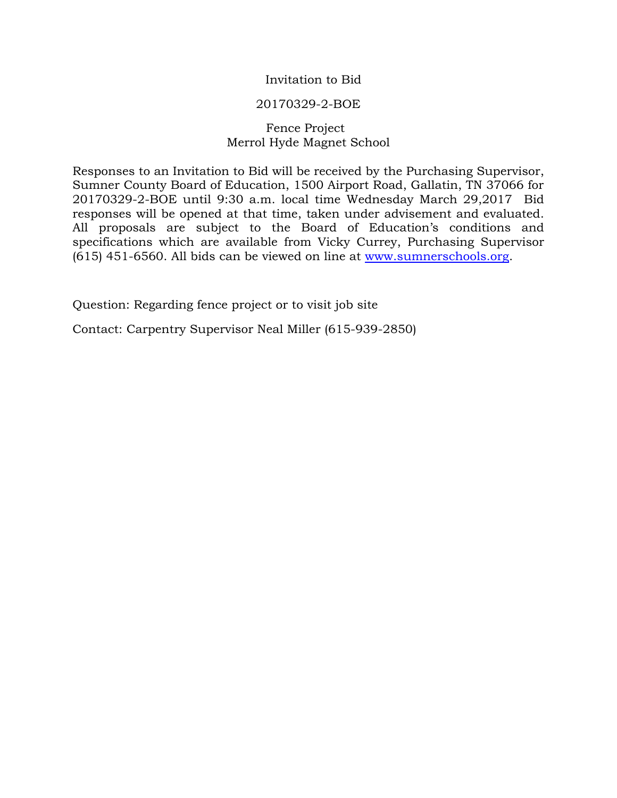Invitation to Bid

## 20170329-2-BOE

# Fence Project Merrol Hyde Magnet School

Responses to an Invitation to Bid will be received by the Purchasing Supervisor, Sumner County Board of Education, 1500 Airport Road, Gallatin, TN 37066 for 20170329-2-BOE until 9:30 a.m. local time Wednesday March 29,2017 Bid responses will be opened at that time, taken under advisement and evaluated. All proposals are subject to the Board of Education's conditions and specifications which are available from Vicky Currey, Purchasing Supervisor (615) 451-6560. All bids can be viewed on line at [www.sumnerschools.org.](http://www.sumnerschools.org/)

Question: Regarding fence project or to visit job site

Contact: Carpentry Supervisor Neal Miller (615-939-2850)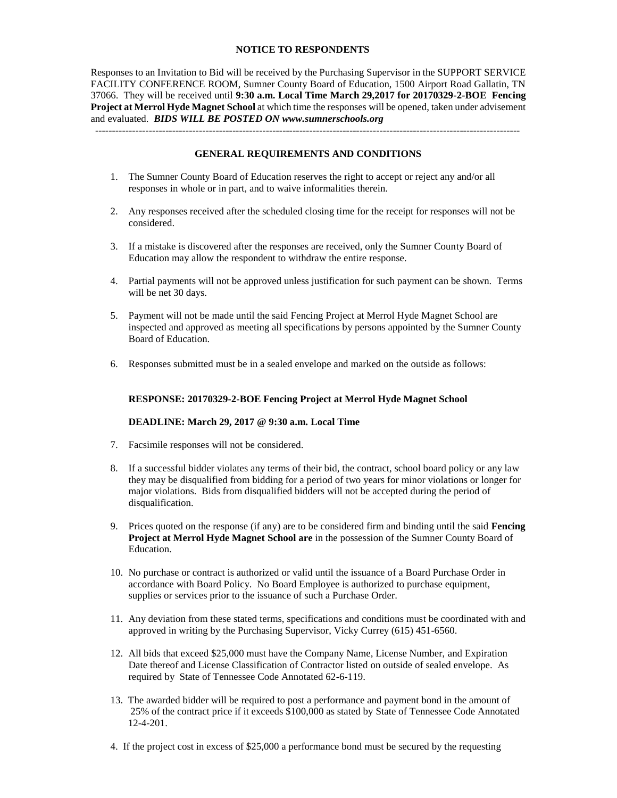### **NOTICE TO RESPONDENTS**

Responses to an Invitation to Bid will be received by the Purchasing Supervisor in the SUPPORT SERVICE FACILITY CONFERENCE ROOM, Sumner County Board of Education, 1500 Airport Road Gallatin, TN 37066. They will be received until **9:30 a.m. Local Time March 29,2017 for 20170329-2-BOE Fencing Project at Merrol Hyde Magnet School** at which time the responses will be opened, taken under advisement and evaluated. *BIDS WILL BE POSTED ON www.sumnerschools.org*

#### **GENERAL REQUIREMENTS AND CONDITIONS**

-------------------------------------------------------------------------------------------------------------------------------

- 1. The Sumner County Board of Education reserves the right to accept or reject any and/or all responses in whole or in part, and to waive informalities therein.
- 2. Any responses received after the scheduled closing time for the receipt for responses will not be considered.
- 3. If a mistake is discovered after the responses are received, only the Sumner County Board of Education may allow the respondent to withdraw the entire response.
- 4. Partial payments will not be approved unless justification for such payment can be shown. Terms will be net 30 days.
- 5. Payment will not be made until the said Fencing Project at Merrol Hyde Magnet School are inspected and approved as meeting all specifications by persons appointed by the Sumner County Board of Education.
- 6. Responses submitted must be in a sealed envelope and marked on the outside as follows:

#### **RESPONSE: 20170329-2-BOE Fencing Project at Merrol Hyde Magnet School**

#### **DEADLINE: March 29, 2017 @ 9:30 a.m. Local Time**

- 7. Facsimile responses will not be considered.
- 8. If a successful bidder violates any terms of their bid, the contract, school board policy or any law they may be disqualified from bidding for a period of two years for minor violations or longer for major violations. Bids from disqualified bidders will not be accepted during the period of disqualification.
- 9. Prices quoted on the response (if any) are to be considered firm and binding until the said **Fencing Project at Merrol Hyde Magnet School are** in the possession of the Sumner County Board of Education.
- 10. No purchase or contract is authorized or valid until the issuance of a Board Purchase Order in accordance with Board Policy. No Board Employee is authorized to purchase equipment, supplies or services prior to the issuance of such a Purchase Order.
- 11. Any deviation from these stated terms, specifications and conditions must be coordinated with and approved in writing by the Purchasing Supervisor, Vicky Currey (615) 451-6560.
- 12. All bids that exceed \$25,000 must have the Company Name, License Number, and Expiration Date thereof and License Classification of Contractor listed on outside of sealed envelope. As required by State of Tennessee Code Annotated 62-6-119.
- 13. The awarded bidder will be required to post a performance and payment bond in the amount of 25% of the contract price if it exceeds \$100,000 as stated by State of Tennessee Code Annotated 12-4-201.
- 4. If the project cost in excess of \$25,000 a performance bond must be secured by the requesting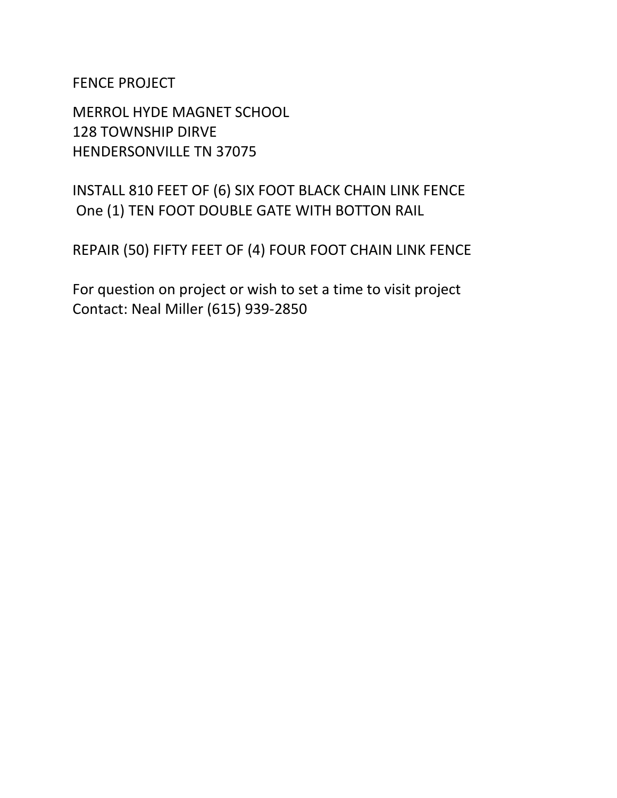FENCE PROJECT

MERROL HYDE MAGNET SCHOOL 128 TOWNSHIP DIRVE HENDERSONVILLE TN 37075

INSTALL 810 FEET OF (6) SIX FOOT BLACK CHAIN LINK FENCE One (1) TEN FOOT DOUBLE GATE WITH BOTTON RAIL

REPAIR (50) FIFTY FEET OF (4) FOUR FOOT CHAIN LINK FENCE

For question on project or wish to set a time to visit project Contact: Neal Miller (615) 939-2850